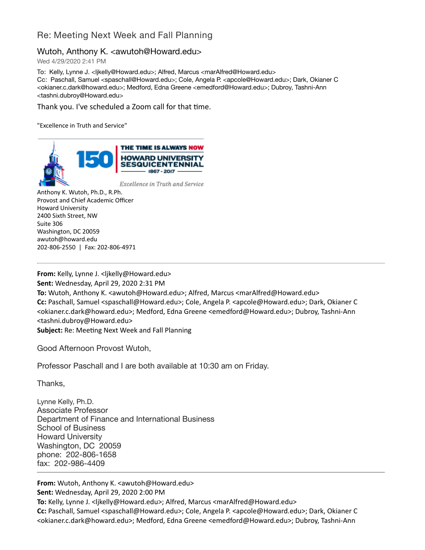## Re: Meeting Next Week and Fall Planning

## Wutoh, Anthony K. <awutoh@Howard.edu>

Wed 4/29/2020 2:41 PM

To: Kelly, Lynne J. <ljkelly@Howard.edu>; Alfred, Marcus <marAlfred@Howard.edu> Cc: Paschall, Samuel <spaschall@Howard.edu>; Cole, Angela P. <apcole@Howard.edu>; Dark, Okianer C <okianer.c.dark@howard.edu>; Medford, Edna Greene <emedford@Howard.edu>; Dubroy, Tashni-Ann <tashni.dubroy@Howard.edu>

Thank you. I've scheduled a Zoom call for that time.

"Excellence in Truth and Service"



Anthony K. Wutoh, Ph.D., R.Ph. Provost and Chief Academic Officer Howard University 2400 Sixth Street, NW Suite 306 Washington, DC 20059 awutoh@howard.edu 202-806-2550 | Fax: 202-806-4971

**From:** Kelly, Lynne J. <ljkelly@Howard.edu> **Sent:** Wednesday, April 29, 2020 2:31 PM **To:** Wutoh, Anthony K. <awutoh@Howard.edu>; Alfred, Marcus <marAlfred@Howard.edu> **Cc:** Paschall, Samuel <spaschall@Howard.edu>; Cole, Angela P. <apcole@Howard.edu>; Dark, Okianer C <okianer.c.dark@howard.edu>; Medford, Edna Greene <emedford@Howard.edu>; Dubroy, Tashni-Ann <tashni.dubroy@Howard.edu> **Subject:** Re: Meeting Next Week and Fall Planning

Good Afternoon Provost Wutoh,

Professor Paschall and I are both available at 10:30 am on Friday.

Thanks,

Lynne Kelly, Ph.D. Associate Professor Department of Finance and International Business School of Business Howard University Washington, DC 20059 phone: 202-806-1658 fax: 202-986-4409

**From:** Wutoh, Anthony K. <awutoh@Howard.edu> **Sent:** Wednesday, April 29, 2020 2:00 PM **To:** Kelly, Lynne J. <ljkelly@Howard.edu>; Alfred, Marcus <marAlfred@Howard.edu> **Cc:** Paschall, Samuel <spaschall@Howard.edu>; Cole, Angela P. <apcole@Howard.edu>; Dark, Okianer C <okianer.c.dark@howard.edu>; Medford, Edna Greene <emedford@Howard.edu>; Dubroy, Tashni-Ann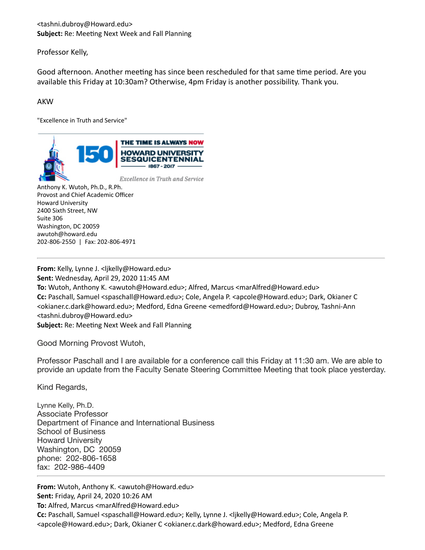<tashni.dubroy@Howard.edu> Subject: Re: Meeting Next Week and Fall Planning

Professor Kelly,

Good afternoon. Another meeting has since been rescheduled for that same time period. Are you available this Friday at 10:30am? Otherwise, 4pm Friday is another possibility. Thank you.

## **AKW**

"Excellence in Truth and Service"



Anthony K. Wutoh, Ph.D., R.Ph. Provost and Chief Academic Officer Howard University 2400 Sixth Street, NW Suite 306 Washington, DC 20059 awutoh@howard.edu 202-806-2550 | Fax: 202-806-4971

**From:** Kelly, Lynne J. <ljkelly@Howard.edu> **Sent:** Wednesday, April 29, 2020 11:45 AM **To:** Wutoh, Anthony K. <awutoh@Howard.edu>; Alfred, Marcus <marAlfred@Howard.edu> **Cc:** Paschall, Samuel <spaschall@Howard.edu>; Cole, Angela P. <apcole@Howard.edu>; Dark, Okianer C <okianer.c.dark@howard.edu>; Medford, Edna Greene <emedford@Howard.edu>; Dubroy, Tashni-Ann <tashni.dubroy@Howard.edu> **Subject:** Re: Meeting Next Week and Fall Planning

Good Morning Provost Wutoh,

Professor Paschall and I are available for a conference call this Friday at 11:30 am. We are able to provide an update from the Faculty Senate Steering Committee Meeting that took place yesterday.

Kind Regards,

Lynne Kelly, Ph.D. Associate Professor Department of Finance and International Business School of Business Howard University Washington, DC 20059 phone: 202-806-1658 fax: 202-986-4409

**From:** Wutoh, Anthony K. <awutoh@Howard.edu> **Sent:** Friday, April 24, 2020 10:26 AM **To:** Alfred, Marcus <marAlfred@Howard.edu> **Cc:** Paschall, Samuel <spaschall@Howard.edu>; Kelly, Lynne J. <ljkelly@Howard.edu>; Cole, Angela P. <apcole@Howard.edu>; Dark, Okianer C <okianer.c.dark@howard.edu>; Medford, Edna Greene